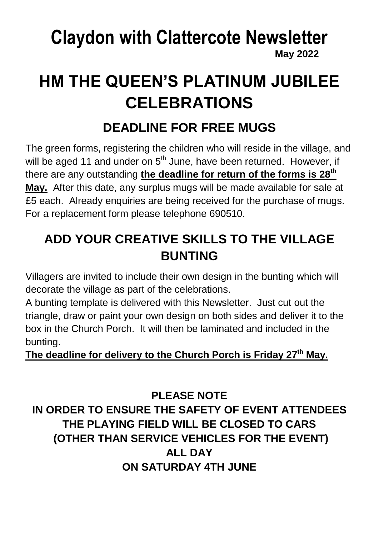### **Claydon with Clattercote Newsletter May 2022**

## **HM THE QUEEN'S PLATINUM JUBILEE CELEBRATIONS**

## **DEADLINE FOR FREE MUGS**

The green forms, registering the children who will reside in the village, and will be aged 11 and under on  $5<sup>th</sup>$  June, have been returned. However, if there are any outstanding **the deadline for return of the forms is 28th May.** After this date, any surplus mugs will be made available for sale at £5 each. Already enquiries are being received for the purchase of mugs. For a replacement form please telephone 690510.

## **ADD YOUR CREATIVE SKILLS TO THE VILLAGE BUNTING**

Villagers are invited to include their own design in the bunting which will decorate the village as part of the celebrations.

A bunting template is delivered with this Newsletter. Just cut out the triangle, draw or paint your own design on both sides and deliver it to the box in the Church Porch. It will then be laminated and included in the bunting.

#### **The deadline for delivery to the Church Porch is Friday 27th May.**

**PLEASE NOTE IN ORDER TO ENSURE THE SAFETY OF EVENT ATTENDEES THE PLAYING FIELD WILL BE CLOSED TO CARS (OTHER THAN SERVICE VEHICLES FOR THE EVENT) ALL DAY ON SATURDAY 4TH JUNE**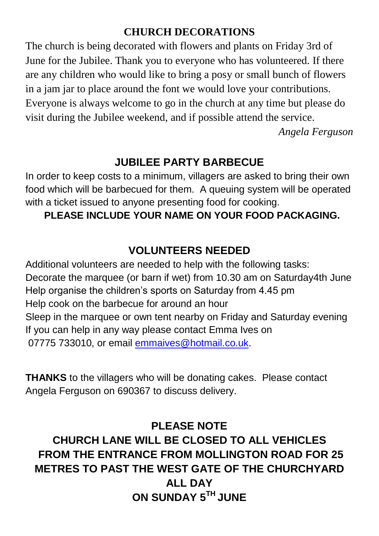#### **CHURCH DECORATIONS**

The church is being decorated with flowers and plants on Friday 3rd of June for the Jubilee. Thank you to everyone who has volunteered. If there are any children who would like to bring a posy or small bunch of flowers in a jam jar to place around the font we would love your contributions. Everyone is always welcome to go in the church at any time but please do visit during the Jubilee weekend, and if possible attend the service.

*Angela Ferguson*

#### **JUBILEE PARTY BARBECUE**

In order to keep costs to a minimum, villagers are asked to bring their own food which will be barbecued for them. A queuing system will be operated with a ticket issued to anyone presenting food for cooking.

#### **PLEASE INCLUDE YOUR NAME ON YOUR FOOD PACKAGING.**

#### **VOLUNTEERS NEEDED**

Additional volunteers are needed to help with the following tasks: Decorate the marquee (or barn if wet) from 10.30 am on Saturday4th June Help organise the children's sports on Saturday from 4.45 pm Help cook on the barbecue for around an hour Sleep in the marquee or own tent nearby on Friday and Saturday evening If you can help in any way please contact Emma Ives on 07775 733010, or email [emmaives@hotmail.co.uk.](mailto:emmaives@hotmail.co.uk)

**THANKS** to the villagers who will be donating cakes. Please contact Angela Ferguson on 690367 to discuss delivery.

#### **PLEASE NOTE CHURCH LANE WILL BE CLOSED TO ALL VEHICLES FROM THE ENTRANCE FROM MOLLINGTON ROAD FOR 25 METRES TO PAST THE WEST GATE OF THE CHURCHYARD ALL DAY ON SUNDAY 5TH JUNE**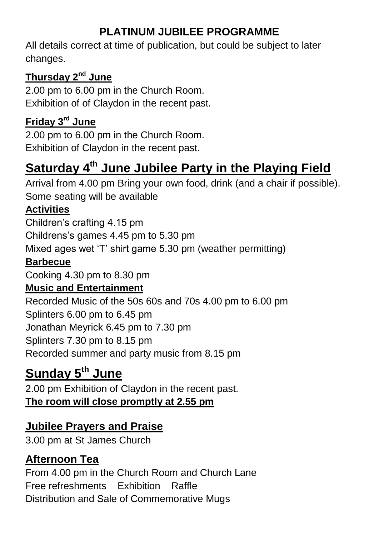#### **PLATINUM JUBILEE PROGRAMME**

All details correct at time of publication, but could be subject to later changes.

#### **Thursday 2nd June**

2.00 pm to 6.00 pm in the Church Room. Exhibition of of Claydon in the recent past.

#### **Friday 3rd June**

2.00 pm to 6.00 pm in the Church Room. Exhibition of Claydon in the recent past.

## **Saturday 4th June Jubilee Party in the Playing Field**

Arrival from 4.00 pm Bring your own food, drink (and a chair if possible). Some seating will be available

#### **Activities**

Children's crafting 4.15 pm

Childrens's games 4.45 pm to 5.30 pm

Mixed ages wet 'T' shirt game 5.30 pm (weather permitting)

#### **Barbecue**

Cooking 4.30 pm to 8.30 pm

#### **Music and Entertainment**

Recorded Music of the 50s 60s and 70s 4.00 pm to 6.00 pm Splinters 6.00 pm to 6.45 pm Jonathan Meyrick 6.45 pm to 7.30 pm Splinters 7.30 pm to 8.15 pm Recorded summer and party music from 8.15 pm

## **Sunday 5th June**

2.00 pm Exhibition of Claydon in the recent past. **The room will close promptly at 2.55 pm** 

#### **Jubilee Prayers and Praise**

3.00 pm at St James Church

#### **Afternoon Tea**

From 4.00 pm in the Church Room and Church Lane Free refreshments Exhibition Raffle Distribution and Sale of Commemorative Mugs